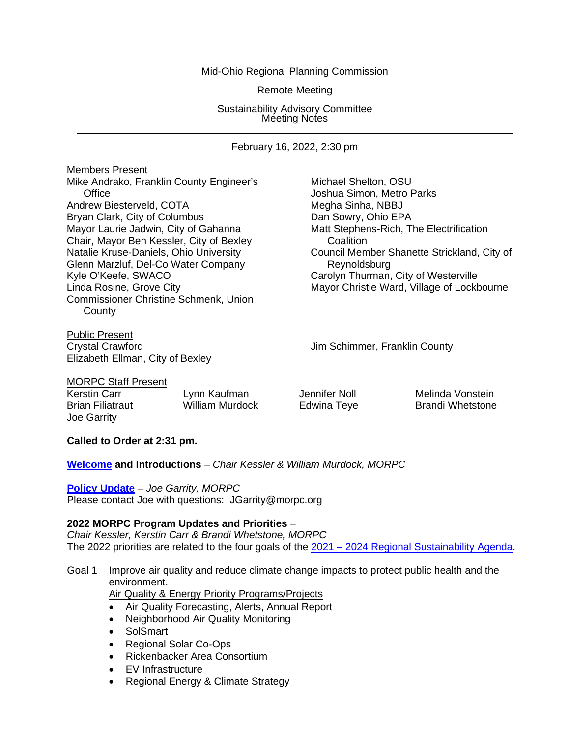## Mid-Ohio Regional Planning Commission

Remote Meeting

Sustainability Advisory Committee Meeting Notes

February 16, 2022, 2:30 pm

Members Present Mike Andrako, Franklin County Engineer's Michael Shelton, OSU Office **Contract Contract Contract Contract Contract Contract Contract Contract Contract Contract Contract Contract Contract Contract Contract Contract Contract Contract Contract Contract Contract Contract Contract Contrac** Andrew Biesterveld, COTA Megha Sinha, NBBJ Bryan Clark, City of Columbus<br>
Mayor Laurie Jadwin, City of Gahanna<br>
Matt Stephens-Rich, T Chair, Mayor Ben Kessler, City of Bexley<br>
Natalie Kruse-Daniels, Ohio University<br>
Council Mem Glenn Marzluf, Del-Co Water Company Reynoldsburg Kyle O'Keefe, SWACO Carolyn Thurman, City of Westerville Commissioner Christine Schmenk, Union **County** 

Public Present Crystal Crawford Jim Schimmer, Franklin County Elizabeth Ellman, City of Bexley

Matt Stephens-Rich, The Electrification Council Member Shanette Strickland, City of Linda Rosine, Grove City **Mayor Christie Ward, Village of Lockbourne** 

MORPC Staff Present

Kerstin Carr **Lynn Kaufman** Jennifer Noll **Melinda Vonstein** Brian Filiatraut **William Murdock** Edwina Teye Brandi Whetstone Joe Garrity

## **Called to Order at 2:31 pm.**

**[Welcome](https://morpc1-my.sharepoint.com/:v:/g/personal/lkaufman_morpc_org/EYa2HvmrAhRLuQkgc96kgRYBgO0DbnuZcDZ-VuPExTAT5w?e=rYaylV) and Introductions** *– Chair Kessler & William Murdock, MORPC*

**[Policy Update](https://morpc1-my.sharepoint.com/:v:/g/personal/lkaufman_morpc_org/EXBsjfWA-mZNnUo73dnXjUQBS9xQBus_kmsB9hct0-mIVQ?e=6gEfde)** *– Joe Garrity, MORPC* Please contact Joe with questions: JGarrity@morpc.org

## **2022 MORPC Program Updates and Priorities** *–*

*Chair Kessler, Kerstin Carr & Brandi Whetstone, MORPC* The 2022 priorities are related to the four goals of the 2021 - [2024 Regional Sustainability Agenda.](https://www.morpc.org/wordpress/wp-content/uploads/2021/06/2021-REGIONAL-SUSTAINABILITY-AGENDA.pdf)

# Goal 1 Improve air quality and reduce climate change impacts to protect public health and the environment.

**Air Quality & Energy Priority Programs/Projects** 

- Air Quality Forecasting, Alerts, Annual Report
- Neighborhood Air Quality Monitoring
- SolSmart
- Regional Solar Co-Ops
- Rickenbacker Area Consortium
- EV Infrastructure
- Regional Energy & Climate Strategy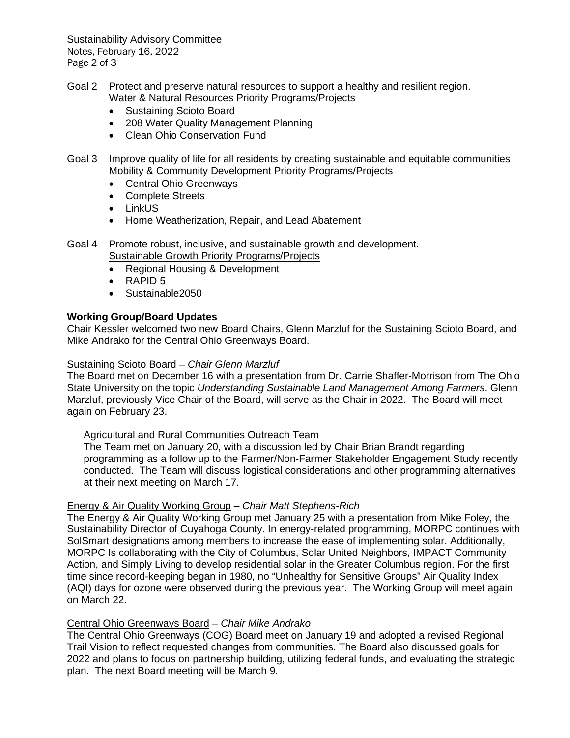Sustainability Advisory Committee Notes, February 16, 2022 Page 2 of 3

- Goal 2 Protect and preserve natural resources to support a healthy and resilient region. Water & Natural Resources Priority Programs/Projects
	- Sustaining Scioto Board
	- 208 Water Quality Management Planning
	- Clean Ohio Conservation Fund
- Goal 3 Improve quality of life for all residents by creating sustainable and equitable communities Mobility & Community Development Priority Programs/Projects
	- Central Ohio Greenways
	- Complete Streets
	- LinkUS
	- Home Weatherization, Repair, and Lead Abatement
- Goal 4 Promote robust, inclusive, and sustainable growth and development. Sustainable Growth Priority Programs/Projects
	- Regional Housing & Development
	- RAPID 5
	- Sustainable2050

## **Working Group/Board Updates**

Chair Kessler welcomed two new Board Chairs, Glenn Marzluf for the Sustaining Scioto Board, and Mike Andrako for the Central Ohio Greenways Board.

## Sustaining Scioto Board *– Chair Glenn Marzluf*

The Board met on December 16 with a presentation from Dr. Carrie Shaffer-Morrison from The Ohio State University on the topic *Understanding Sustainable Land Management Among Farmers*. Glenn Marzluf, previously Vice Chair of the Board, will serve as the Chair in 2022. The Board will meet again on February 23.

## Agricultural and Rural Communities Outreach Team

The Team met on January 20, with a discussion led by Chair Brian Brandt regarding programming as a follow up to the Farmer/Non-Farmer Stakeholder Engagement Study recently conducted. The Team will discuss logistical considerations and other programming alternatives at their next meeting on March 17.

## Energy & Air Quality Working Group *– Chair Matt Stephens-Rich*

The Energy & Air Quality Working Group met January 25 with a presentation from Mike Foley, the Sustainability Director of Cuyahoga County. In energy-related programming, MORPC continues with SolSmart designations among members to increase the ease of implementing solar. Additionally, MORPC Is collaborating with the City of Columbus, Solar United Neighbors, IMPACT Community Action, and Simply Living to develop residential solar in the Greater Columbus region. For the first time since record-keeping began in 1980, no "Unhealthy for Sensitive Groups" Air Quality Index (AQI) days for ozone were observed during the previous year. The Working Group will meet again on March 22.

# Central Ohio Greenways Board *– Chair Mike Andrako*

The Central Ohio Greenways (COG) Board meet on January 19 and adopted a revised Regional Trail Vision to reflect requested changes from communities. The Board also discussed goals for 2022 and plans to focus on partnership building, utilizing federal funds, and evaluating the strategic plan. The next Board meeting will be March 9.